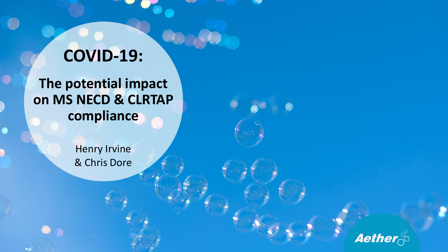# **COVID-19:**

**The potential impact on MS NECD & CLRTAP compliance**

 $\bullet$ 

۰.

**Henry Irvine** & Chris Dore

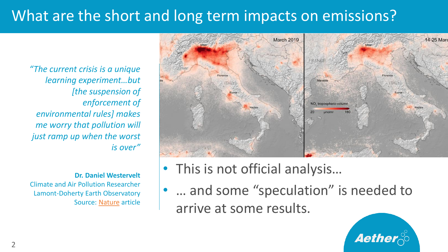## What are the short and long term impacts on emissions?

*"The current crisis is a unique learning experiment…but [the suspension of enforcement of environmental rules] makes me worry that pollution will just ramp up when the worst is over"*

**Dr. Daniel Westervelt** Climate and Air Pollution Researcher Lamont-Doherty Earth Observatory Source: [Nature](https://www.nature.com/articles/d41586-020-01049-6) article



- This is not official analysis…
- ... and some "speculation" is needed to arrive at some results.

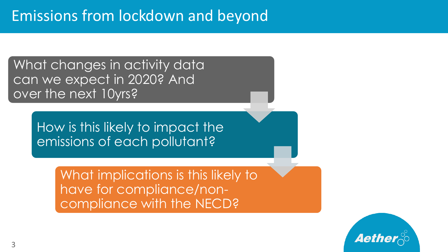#### Emissions from lockdown and beyond

What changes in activity data can we expect in 2020? And over the next 10yrs?

> How is this likely to impact the emissions of each pollutant?

> > What implications is this likely to have for compliance/noncompliance with the NECD?

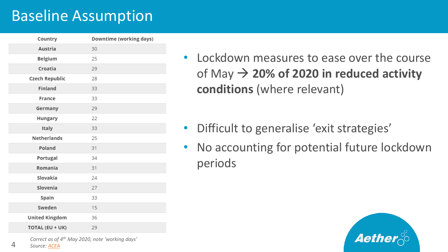#### Baseline Assumption

| Downtime (working days) |
|-------------------------|
| 30                      |
| 25                      |
| 29                      |
| 28                      |
| 33                      |
| 33                      |
| 29                      |
| 22                      |
| 33                      |
| 25                      |
| 31                      |
| 34                      |
| 31                      |
| 24                      |
| 27                      |
| 33                      |
| 15                      |
| 36                      |
| 29                      |
|                         |

- Lockdown measures to ease over the course of May  $\rightarrow$  20% of 2020 in reduced activity **conditions** (where relevant)
- Difficult to generalise 'exit strategies'
- No accounting for potential future lockdown periods



*Correct as of 4th May 2020, note 'working days'*

*Source: [ACEA](https://www.acea.be/news/article/interactive-map-production-impact-of-covid-19-on-the-european-auto-industry)*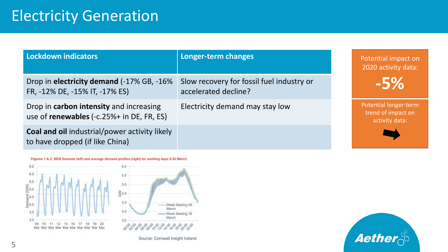#### Electricity Generation

| Lockdown indicators                                                                     | Longer-term changes                                               | Potential impact on<br>2020 activity data:                    |
|-----------------------------------------------------------------------------------------|-------------------------------------------------------------------|---------------------------------------------------------------|
| Drop in electricity demand (-17% GB, -16%<br>FR, -12% DE, -15% IT, -17% ES)             | Slow recovery for fossil fuel industry or<br>accelerated decline? | $-5%$                                                         |
| Drop in carbon intensity and increasing<br>use of renewables (-c.25%+ in DE, FR, ES)    | Electricity demand may stay low                                   | Potential longer-term<br>trend of impact on<br>activity data: |
| <b>Coal and oil industrial/power activity likely</b><br>to have dropped (if like China) |                                                                   |                                                               |



Source: Cornwall Insight Ireland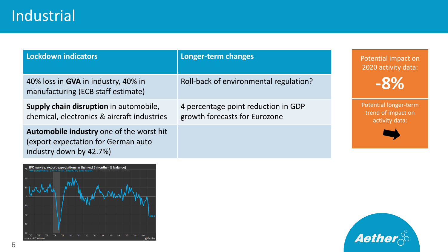| Lockdown indicators                                                                                        | Longer-term changes                                                  | Potential impact on<br>2020 activity data:                    |
|------------------------------------------------------------------------------------------------------------|----------------------------------------------------------------------|---------------------------------------------------------------|
| 40% loss in GVA in industry, 40% in<br>manufacturing (ECB staff estimate)                                  | Roll-back of environmental regulation?                               | $-8\%$                                                        |
| Supply chain disruption in automobile,<br>chemical, electronics & aircraft industries                      | 4 percentage point reduction in GDP<br>growth forecasts for Eurozone | Potential longer-term<br>trend of impact on<br>activity data: |
| Automobile industry one of the worst hit<br>(export expectation for German auto<br>industry down by 42.7%) |                                                                      |                                                               |





6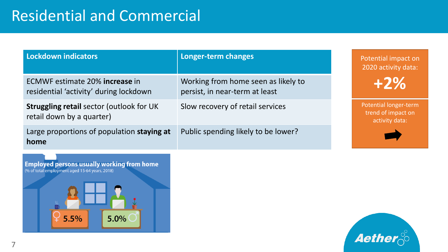## Residential and Commercial

| Lockdown indicators                                                                                 | Longer-term changes                                                   | Potential impact on<br>2020 activity data:                    |
|-----------------------------------------------------------------------------------------------------|-----------------------------------------------------------------------|---------------------------------------------------------------|
| ECMWF estimate 20% increase in<br>residential 'activity' during lockdown                            | Working from home seen as likely to<br>persist, in near-term at least | $+2\%$                                                        |
| <b>Struggling retail sector (outlook for UK)</b><br>retail down by a quarter)                       | Slow recovery of retail services                                      | Potential longer-term<br>trend of impact on<br>activity data: |
| Large proportions of population staying at<br>home                                                  | Public spending likely to be lower?                                   |                                                               |
| <b>Employed persons usually working from home</b><br>(% of total employment aged 15-64 years, 2018) |                                                                       |                                                               |



 $\operatorname{\mathsf{Q}}$  5.5%

5.0%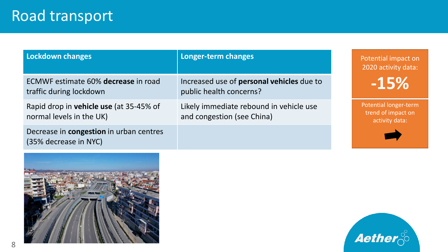| Lockdown changes                                                    | Longer-term changes                                                   | Potential impact on<br>2020 activity data:                    |
|---------------------------------------------------------------------|-----------------------------------------------------------------------|---------------------------------------------------------------|
| ECMWF estimate 60% decrease in road<br>traffic during lockdown      | Increased use of personal vehicles due to<br>public health concerns?  | -15%                                                          |
| Rapid drop in vehicle use (at 35-45% of<br>normal levels in the UK) | Likely immediate rebound in vehicle use<br>and congestion (see China) | Potential longer-term<br>trend of impact on<br>activity data: |
| Decrease in congestion in urban centres<br>(35% decrease in NYC)    |                                                                       |                                                               |



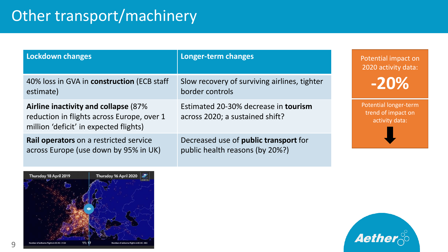# Other transport/machinery

| <b>Lockdown changes</b>                                                                                                      | Longer-term changes                                                      |                                                                      | Potential impact on<br>2020 activity data: |  |
|------------------------------------------------------------------------------------------------------------------------------|--------------------------------------------------------------------------|----------------------------------------------------------------------|--------------------------------------------|--|
| 40% loss in GVA in construction (ECB staff<br>estimate)                                                                      | Slow recovery of surviving airlines, tighter<br>border controls          |                                                                      | $-20%$                                     |  |
| Airline inactivity and collapse (87%<br>reduction in flights across Europe, over 1<br>million 'deficit' in expected flights) | Estimated 20-30% decrease in tourism<br>across 2020; a sustained shift?  | <b>Potential longer-term</b><br>trend of impact on<br>activity data: |                                            |  |
| Rail operators on a restricted service<br>across Europe (use down by 95% in UK)                                              | Decreased use of public transport for<br>public health reasons (by 20%?) |                                                                      |                                            |  |



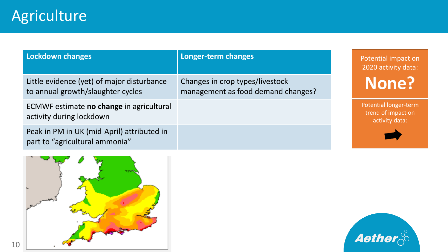| <b>Lockdown changes</b>                                                         | Longer-term changes                                                   | Potential impact on<br>2020 activity data:                    |
|---------------------------------------------------------------------------------|-----------------------------------------------------------------------|---------------------------------------------------------------|
| Little evidence (yet) of major disturbance<br>to annual growth/slaughter cycles | Changes in crop types/livestock<br>management as food demand changes? | None?                                                         |
| ECMWF estimate no change in agricultural<br>activity during lockdown            |                                                                       | Potential longer-term<br>trend of impact on<br>activity data: |
| Peak in PM in UK (mid-April) attributed in<br>part to "agricultural ammonia"    |                                                                       |                                                               |



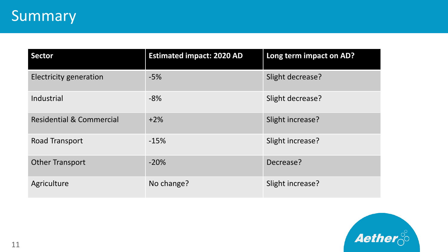| <b>Sector</b>                       | <b>Estimated impact: 2020 AD</b> | Long term impact on AD? |
|-------------------------------------|----------------------------------|-------------------------|
| <b>Electricity generation</b>       | $-5%$                            | Slight decrease?        |
| Industrial                          | $-8%$                            | Slight decrease?        |
| <b>Residential &amp; Commercial</b> | $+2\%$                           | Slight increase?        |
| Road Transport                      | $-15%$                           | Slight increase?        |
| <b>Other Transport</b>              | $-20%$                           | Decrease?               |
| Agriculture                         | No change?                       | Slight increase?        |

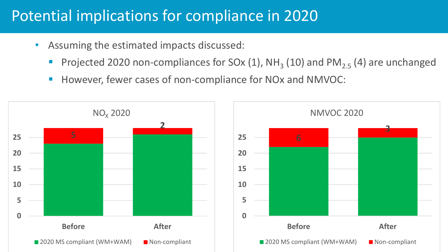## Potential implications for compliance in 2020

- Assuming the estimated impacts discussed:
	- Projected 2020 non-compliances for SOx  $(1)$ , NH<sub>3</sub>  $(10)$  and PM<sub>2.5</sub>  $(4)$  are unchanged
	- However, fewer cases of non-compliance for NOx and NMVOC:

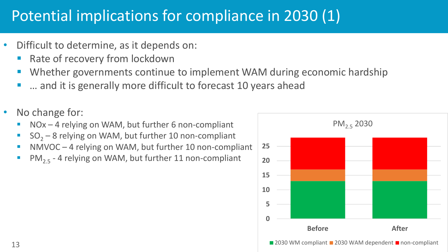# Potential implications for compliance in 2030 (1)

- Difficult to determine, as it depends on:
	- Rate of recovery from lockdown
	- Whether governments continue to implement WAM during economic hardship
	- ... and it is generally more difficult to forecast 10 years ahead
- No change for:
	- $NOx 4$  relying on WAM, but further 6 non-compliant
	- $SO<sub>2</sub> 8$  relying on WAM, but further 10 non-compliant
	- NMVOC 4 relying on WAM, but further 10 non-compliant
	- $PM_{2.5}$  4 relying on WAM, but further 11 non-compliant

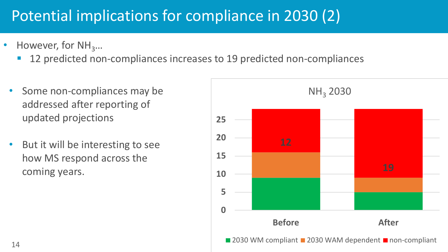# Potential implications for compliance in 2030 (2)

- However, for  $NH<sub>3</sub>...$ 
	- 12 predicted non-compliances increases to 19 predicted non-compliances
	- Some non-compliances may be addressed after reporting of updated projections
	- But it will be interesting to see how MS respond across the coming years.

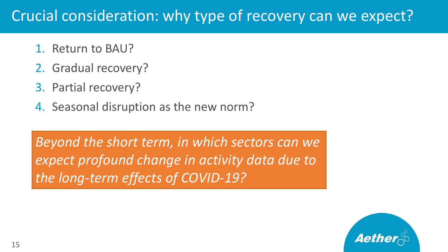## Crucial consideration: why type of recovery can we expect?

- 1. Return to BAU?
- 2. Gradual recovery?
- 3. Partial recovery?
- 4. Seasonal disruption as the new norm?

*Beyond the short term, in which sectors can we expect profound change in activity data due to the long-term effects of COVID-19?*